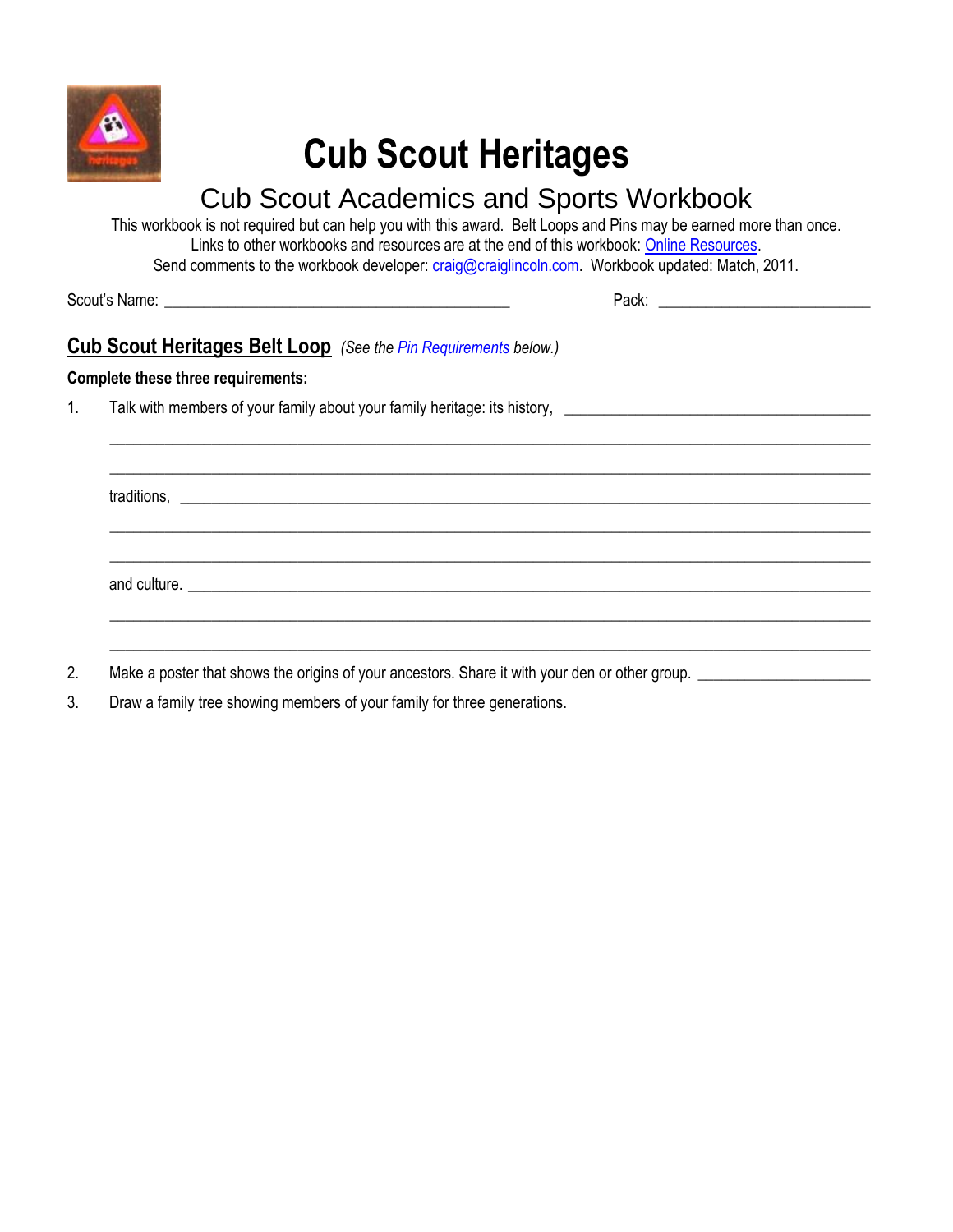

# **Cub Scout Heritages**

## Cub Scout Academics and Sports Workbook

This workbook is not required but can help you with this award. Belt Loops and Pins may be earned more than once. Links to other workbooks and resources are at the end of this workbook: [Online Resources.](#page-2-0) Send comments to the workbook developer: [craig@craiglincoln.com.](mailto:craig@craiglincoln.com) Workbook updated: Match, 2011.

 $\_$  ,  $\_$  ,  $\_$  ,  $\_$  ,  $\_$  ,  $\_$  ,  $\_$  ,  $\_$  ,  $\_$  ,  $\_$  ,  $\_$  ,  $\_$  ,  $\_$  ,  $\_$  ,  $\_$  ,  $\_$  ,  $\_$  ,  $\_$  ,  $\_$  ,  $\_$  ,  $\_$  ,  $\_$  ,  $\_$  ,  $\_$  ,  $\_$  ,  $\_$  ,  $\_$  ,  $\_$  ,  $\_$  ,  $\_$  ,  $\_$  ,  $\_$  ,  $\_$  ,  $\_$  ,  $\_$  ,  $\_$  ,  $\_$  ,  $\_$  ,  $\_$  ,  $\_$  ,  $\_$  ,  $\_$  ,  $\_$  ,  $\_$  ,  $\_$  ,  $\_$  ,  $\_$  ,  $\_$  ,  $\_$  ,  $\_$  ,  $\_$  ,  $\_$  ,  $\_$  ,  $\_$  ,  $\_$  ,  $\_$  ,  $\_$  ,  $\_$  ,  $\_$  ,  $\_$  ,  $\_$  ,  $\_$  ,  $\_$  ,  $\_$  ,  $\_$  ,  $\_$  ,  $\_$  ,  $\_$  ,  $\_$  ,  $\_$  ,  $\_$  ,  $\_$  ,  $\_$  ,  $\_$  ,

 $\_$  ,  $\_$  ,  $\_$  ,  $\_$  ,  $\_$  ,  $\_$  ,  $\_$  ,  $\_$  ,  $\_$  ,  $\_$  ,  $\_$  ,  $\_$  ,  $\_$  ,  $\_$  ,  $\_$  ,  $\_$  ,  $\_$  ,  $\_$  ,  $\_$  ,  $\_$  ,  $\_$  ,  $\_$  ,  $\_$  ,  $\_$  ,  $\_$  ,  $\_$  ,  $\_$  ,  $\_$  ,  $\_$  ,  $\_$  ,  $\_$  ,  $\_$  ,  $\_$  ,  $\_$  ,  $\_$  ,  $\_$  ,  $\_$  ,  $\_$  ,  $\_$  ,  $\_$  ,  $\_$  ,  $\_$  ,  $\_$  ,  $\_$  ,  $\_$  ,  $\_$  ,  $\_$  ,  $\_$  ,  $\_$  ,  $\_$  ,  $\_$  ,  $\_$  ,  $\_$  ,  $\_$  ,  $\_$  ,  $\_$  ,  $\_$  ,  $\_$  ,  $\_$  ,  $\_$  ,  $\_$  ,  $\_$  ,  $\_$  ,  $\_$  ,  $\_$  ,  $\_$  ,  $\_$  ,  $\_$  ,  $\_$  ,  $\_$  ,  $\_$  ,  $\_$  ,  $\_$  ,  $\_$  ,

 $\_$  ,  $\_$  ,  $\_$  ,  $\_$  ,  $\_$  ,  $\_$  ,  $\_$  ,  $\_$  ,  $\_$  ,  $\_$  ,  $\_$  ,  $\_$  ,  $\_$  ,  $\_$  ,  $\_$  ,  $\_$  ,  $\_$  ,  $\_$  ,  $\_$  ,  $\_$  ,  $\_$  ,  $\_$  ,  $\_$  ,  $\_$  ,  $\_$  ,  $\_$  ,  $\_$  ,  $\_$  ,  $\_$  ,  $\_$  ,  $\_$  ,  $\_$  ,  $\_$  ,  $\_$  ,  $\_$  ,  $\_$  ,  $\_$  ,  $\_$  ,  $\_$  ,  $\_$  ,  $\_$  ,  $\_$  ,  $\_$  ,  $\_$  ,  $\_$  ,  $\_$  ,  $\_$  ,  $\_$  ,  $\_$  ,  $\_$  ,  $\_$  ,  $\_$  ,  $\_$  ,  $\_$  ,  $\_$  ,  $\_$  ,  $\_$  ,  $\_$  ,  $\_$  ,  $\_$  ,  $\_$  ,  $\_$  ,  $\_$  ,  $\_$  ,  $\_$  ,  $\_$  ,  $\_$  ,  $\_$  ,  $\_$  ,  $\_$  ,  $\_$  ,  $\_$  ,  $\_$  ,  $\_$  ,

Scout's Name: \_\_\_\_\_\_\_\_\_\_\_\_\_\_\_\_\_\_\_\_\_\_\_\_\_\_\_\_\_\_\_\_\_\_\_\_\_\_\_\_\_\_\_\_ Pack: \_\_\_\_\_\_\_\_\_\_\_\_\_\_\_\_\_\_\_\_\_\_\_\_\_\_\_

### **Cub Scout Heritages Belt Loop** *(See the [Pin Requirements](#page-1-0) below.)*

#### **Complete these three requirements:**

1. Talk with members of your family about your family heritage: its history, \_\_\_\_\_\_\_\_\_\_\_\_\_\_\_\_\_\_\_\_\_\_\_\_\_\_\_\_\_\_\_\_\_\_\_\_\_\_\_

traditions,

and culture. \_\_\_\_\_\_\_\_\_\_\_\_\_\_\_\_\_\_\_\_\_\_\_\_\_\_\_\_\_\_\_\_\_\_\_\_\_\_\_\_\_\_\_\_\_\_\_\_\_\_\_\_\_\_\_\_\_\_\_\_\_\_\_\_\_\_\_\_\_\_\_\_\_\_\_\_\_\_\_\_\_\_\_\_\_\_\_

- 2. Make a poster that shows the origins of your ancestors. Share it with your den or other group. \_\_\_\_\_\_\_\_\_\_\_\_\_
- 3. Draw a family tree showing members of your family for three generations.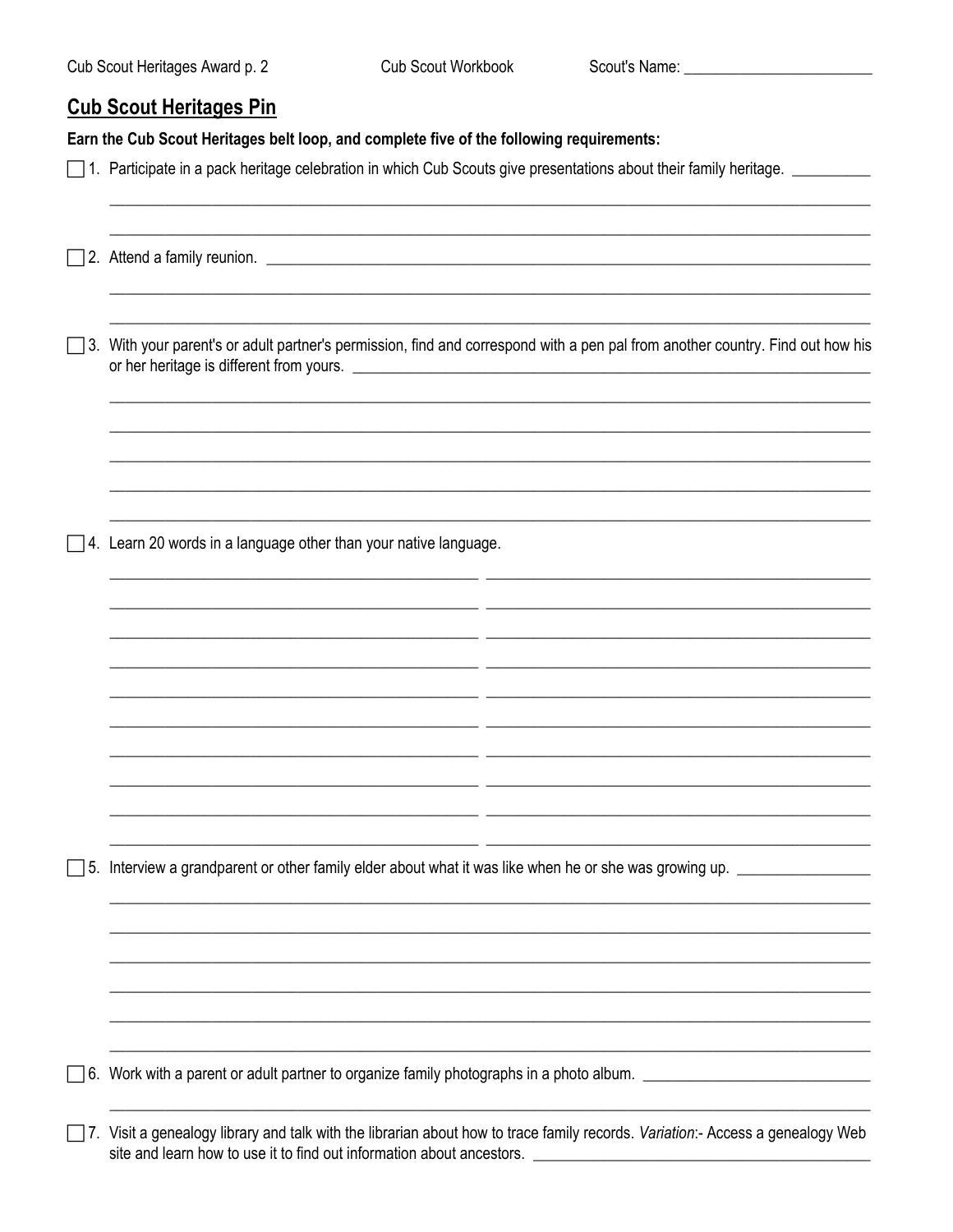#### <span id="page-1-0"></span>**Cub Scout Heritages Pin**

Earn the Cub Scout Heritages belt loop, and complete five of the following requirements:

- □ 1. Participate in a pack heritage celebration in which Cub Scouts give presentations about their family heritage. □
- 2. Attend a family reunion.

□ 3. With your parent's or adult partner's permission, find and correspond with a pen pal from another country. Find out how his or her heritage is different from yours.

 $\Box$  4. Learn 20 words in a language other than your native language.

 $\Box$  5. Interview a grandparent or other family elder about what it was like when he or she was growing up.

 $\Box$  6. Work with a parent or adult partner to organize family photographs in a photo album.

7. Visit a genealogy library and talk with the librarian about how to trace family records. Variation:- Access a genealogy Web site and learn how to use it to find out information about ancestors.

- -